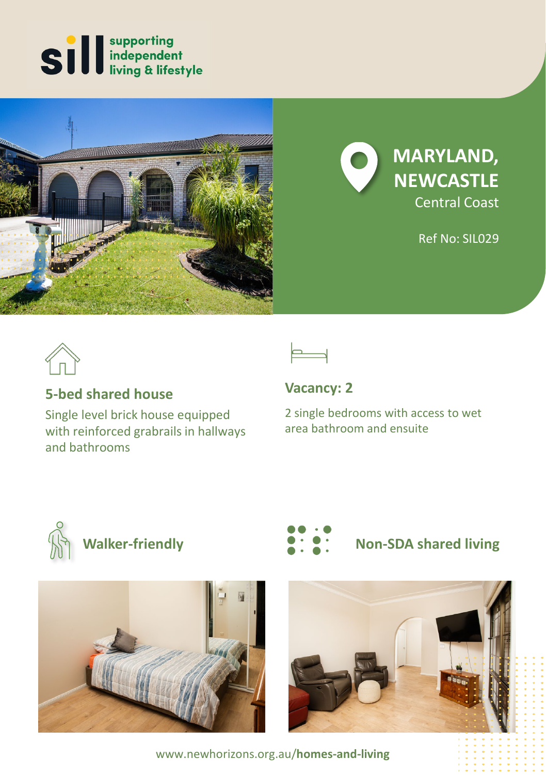





Ref No: SIL029



# **5-bed shared house**

Single level brick house equipped with reinforced grabrails in hallways and bathrooms



**Vacancy: 2**

2 single bedrooms with access to wet area bathroom and ensuite







# **Walker-friendly Non-SDA shared living**



www.newhorizons.org.au/**homes-and-living**